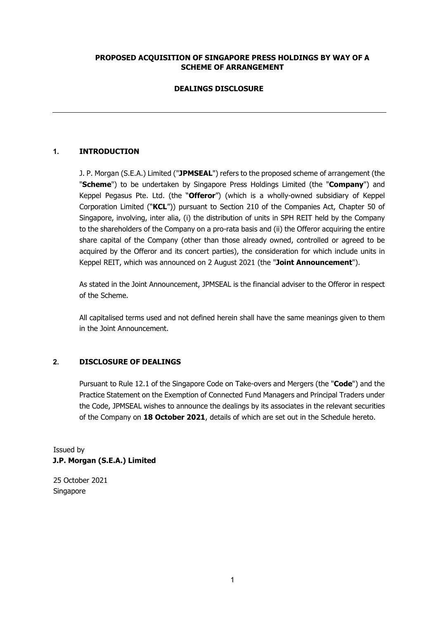# **PROPOSED ACQUISITION OF SINGAPORE PRESS HOLDINGS BY WAY OF A SCHEME OF ARRANGEMENT**

# **DEALINGS DISCLOSURE**

# **1. INTRODUCTION**

J. P. Morgan (S.E.A.) Limited ("**JPMSEAL**") refers to the proposed scheme of arrangement (the "**Scheme**") to be undertaken by Singapore Press Holdings Limited (the "**Company**") and Keppel Pegasus Pte. Ltd. (the "**Offeror**") (which is a wholly-owned subsidiary of Keppel Corporation Limited ("**KCL**")) pursuant to Section 210 of the Companies Act, Chapter 50 of Singapore, involving, inter alia, (i) the distribution of units in SPH REIT held by the Company to the shareholders of the Company on a pro-rata basis and (ii) the Offeror acquiring the entire share capital of the Company (other than those already owned, controlled or agreed to be acquired by the Offeror and its concert parties), the consideration for which include units in Keppel REIT, which was announced on 2 August 2021 (the "**Joint Announcement**").

As stated in the Joint Announcement, JPMSEAL is the financial adviser to the Offeror in respect of the Scheme.

All capitalised terms used and not defined herein shall have the same meanings given to them in the Joint Announcement.

### **2. DISCLOSURE OF DEALINGS**

Pursuant to Rule 12.1 of the Singapore Code on Take-overs and Mergers (the "**Code**") and the Practice Statement on the Exemption of Connected Fund Managers and Principal Traders under the Code, JPMSEAL wishes to announce the dealings by its associates in the relevant securities of the Company on **18 October 2021**, details of which are set out in the Schedule hereto.

Issued by **J.P. Morgan (S.E.A.) Limited** 

25 October 2021 Singapore